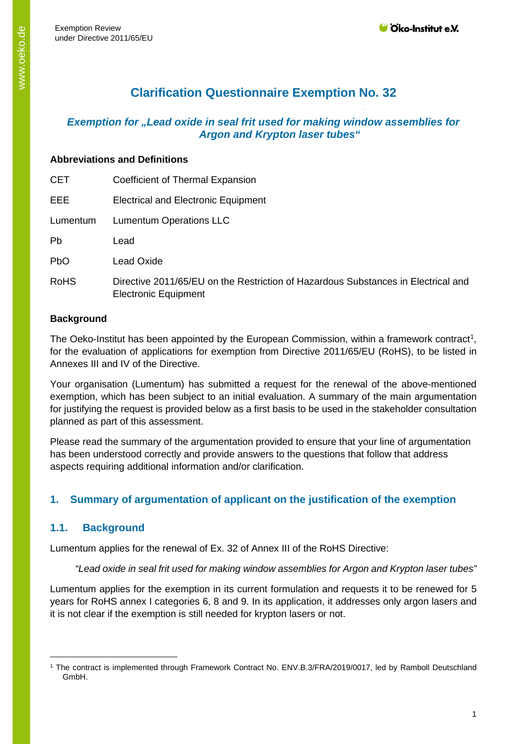# **Clarification Questionnaire Exemption No. 32**

### *Exemption for "Lead oxide in seal frit used for making window assemblies for Argon and Krypton laser tubes"*

### **Abbreviations and Definitions**

| <b>CET</b>  | Coefficient of Thermal Expansion                                                                                 |
|-------------|------------------------------------------------------------------------------------------------------------------|
| EEE         | <b>Electrical and Electronic Equipment</b>                                                                       |
| Lumentum    | <b>Lumentum Operations LLC</b>                                                                                   |
| Pb          | Lead                                                                                                             |
| <b>PbO</b>  | Lead Oxide                                                                                                       |
| <b>RoHS</b> | Directive 2011/65/EU on the Restriction of Hazardous Substances in Electrical and<br><b>Electronic Equipment</b> |

## **Background**

The Oeko-Institut has been appointed by the European Commission, within a framework contract<sup>[1](#page-0-0)</sup>, for the evaluation of applications for exemption from Directive 2011/65/EU (RoHS), to be listed in Annexes III and IV of the Directive.

Your organisation (Lumentum) has submitted a request for the renewal of the above-mentioned exemption, which has been subject to an initial evaluation. A summary of the main argumentation for justifying the request is provided below as a first basis to be used in the stakeholder consultation planned as part of this assessment.

Please read the summary of the argumentation provided to ensure that your line of argumentation has been understood correctly and provide answers to the questions that follow that address aspects requiring additional information and/or clarification.

## **1. Summary of argumentation of applicant on the justification of the exemption**

## **1.1. Background**

Lumentum applies for the renewal of Ex. 32 of Annex III of the RoHS Directive:

*"Lead oxide in seal frit used for making window assemblies for Argon and Krypton laser tubes"*

Lumentum applies for the exemption in its current formulation and requests it to be renewed for 5 years for RoHS annex I categories 6, 8 and 9. In its application, it addresses only argon lasers and it is not clear if the exemption is still needed for krypton lasers or not.

<span id="page-0-0"></span><sup>1</sup> The contract is implemented through Framework Contract No. ENV.B.3/FRA/2019/0017, led by Ramboll Deutschland GmbH.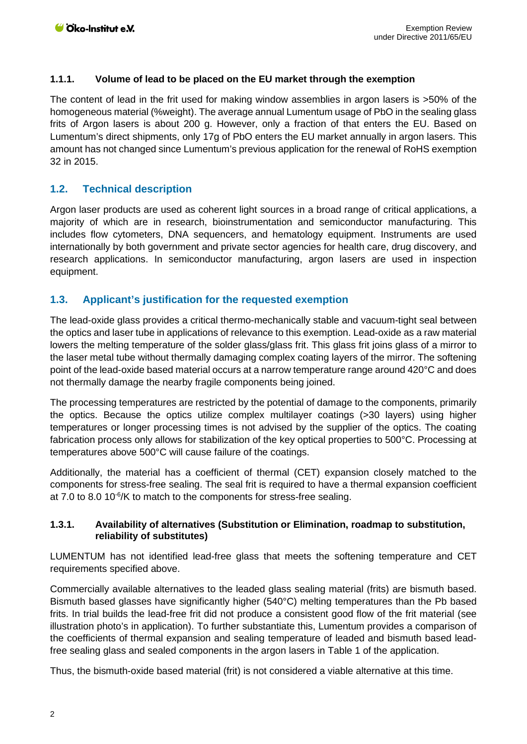#### **1.1.1. Volume of lead to be placed on the EU market through the exemption**

The content of lead in the frit used for making window assemblies in argon lasers is >50% of the homogeneous material (%weight). The average annual Lumentum usage of PbO in the sealing glass frits of Argon lasers is about 200 g. However, only a fraction of that enters the EU. Based on Lumentum's direct shipments, only 17g of PbO enters the EU market annually in argon lasers. This amount has not changed since Lumentum's previous application for the renewal of RoHS exemption 32 in 2015.

#### **1.2. Technical description**

Argon laser products are used as coherent light sources in a broad range of critical applications, a majority of which are in research, bioinstrumentation and semiconductor manufacturing. This includes flow cytometers, DNA sequencers, and hematology equipment. Instruments are used internationally by both government and private sector agencies for health care, drug discovery, and research applications. In semiconductor manufacturing, argon lasers are used in inspection equipment.

#### **1.3. Applicant's justification for the requested exemption**

The lead-oxide glass provides a critical thermo-mechanically stable and vacuum-tight seal between the optics and laser tube in applications of relevance to this exemption. Lead-oxide as a raw material lowers the melting temperature of the solder glass/glass frit. This glass frit joins glass of a mirror to the laser metal tube without thermally damaging complex coating layers of the mirror. The softening point of the lead-oxide based material occurs at a narrow temperature range around 420°C and does not thermally damage the nearby fragile components being joined.

The processing temperatures are restricted by the potential of damage to the components, primarily the optics. Because the optics utilize complex multilayer coatings (>30 layers) using higher temperatures or longer processing times is not advised by the supplier of the optics. The coating fabrication process only allows for stabilization of the key optical properties to 500°C. Processing at temperatures above 500°C will cause failure of the coatings.

Additionally, the material has a coefficient of thermal (CET) expansion closely matched to the components for stress-free sealing. The seal frit is required to have a thermal expansion coefficient at 7.0 to 8.0 10<sup>-6</sup>/K to match to the components for stress-free sealing.

#### **1.3.1. Availability of alternatives (Substitution or Elimination, roadmap to substitution, reliability of substitutes)**

LUMENTUM has not identified lead-free glass that meets the softening temperature and CET requirements specified above.

Commercially available alternatives to the leaded glass sealing material (frits) are bismuth based. Bismuth based glasses have significantly higher (540°C) melting temperatures than the Pb based frits. In trial builds the lead-free frit did not produce a consistent good flow of the frit material (see illustration photo's in application). To further substantiate this, Lumentum provides a comparison of the coefficients of thermal expansion and sealing temperature of leaded and bismuth based leadfree sealing glass and sealed components in the argon lasers in Table 1 of the application.

Thus, the bismuth-oxide based material (frit) is not considered a viable alternative at this time.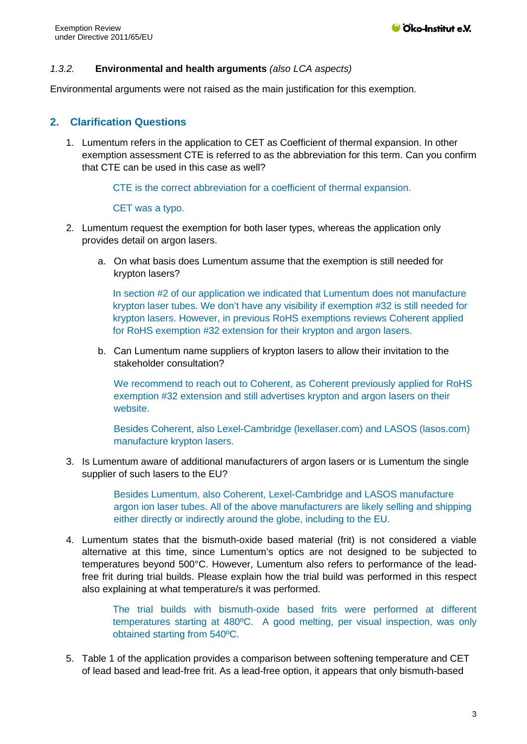#### *1.3.2.* **Environmental and health arguments** *(also LCA aspects)*

Environmental arguments were not raised as the main justification for this exemption.

#### **2. Clarification Questions**

1. Lumentum refers in the application to CET as Coefficient of thermal expansion. In other exemption assessment CTE is referred to as the abbreviation for this term. Can you confirm that CTE can be used in this case as well?

CTE is the correct abbreviation for a coefficient of thermal expansion.

CET was a typo.

- 2. Lumentum request the exemption for both laser types, whereas the application only provides detail on argon lasers.
	- a. On what basis does Lumentum assume that the exemption is still needed for krypton lasers?

In section #2 of our application we indicated that Lumentum does not manufacture krypton laser tubes. We don't have any visibility if exemption #32 is still needed for krypton lasers. However, in previous RoHS exemptions reviews Coherent applied for RoHS exemption #32 extension for their krypton and argon lasers.

b. Can Lumentum name suppliers of krypton lasers to allow their invitation to the stakeholder consultation?

We recommend to reach out to Coherent, as Coherent previously applied for RoHS exemption #32 extension and still advertises krypton and argon lasers on their website.

Besides Coherent, also Lexel-Cambridge (lexellaser.com) and LASOS (lasos.com) manufacture krypton lasers.

3. Is Lumentum aware of additional manufacturers of argon lasers or is Lumentum the single supplier of such lasers to the EU?

> Besides Lumentum, also Coherent, Lexel-Cambridge and LASOS manufacture argon ion laser tubes. All of the above manufacturers are likely selling and shipping either directly or indirectly around the globe, including to the EU.

4. Lumentum states that the bismuth-oxide based material (frit) is not considered a viable alternative at this time, since Lumentum's optics are not designed to be subjected to temperatures beyond 500°C. However, Lumentum also refers to performance of the leadfree frit during trial builds. Please explain how the trial build was performed in this respect also explaining at what temperature/s it was performed.

> The trial builds with bismuth-oxide based frits were performed at different temperatures starting at 480ºC. A good melting, per visual inspection, was only obtained starting from 540ºC.

5. Table 1 of the application provides a comparison between softening temperature and CET of lead based and lead-free frit. As a lead-free option, it appears that only bismuth-based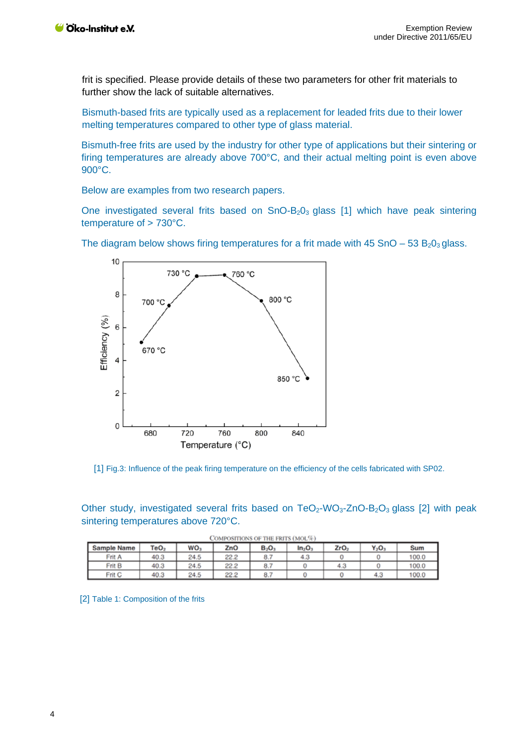frit is specified. Please provide details of these two parameters for other frit materials to further show the lack of suitable alternatives.

Bismuth-based frits are typically used as a replacement for leaded frits due to their lower melting temperatures compared to other type of glass material.

Bismuth-free frits are used by the industry for other type of applications but their sintering or firing temperatures are already above 700°C, and their actual melting point is even above 900°C.

Below are examples from two research papers.

One investigated several frits based on SnO-B203 glass [1] which have peak sintering temperature of > 730°C.



The diagram below shows firing temperatures for a frit made with  $45$  SnO – 53 B<sub>2</sub>O<sub>3</sub> glass.

[1] Fig.3: Influence of the peak firing temperature on the efficiency of the cells fabricated with SP02.

Other study, investigated several frits based on  $TeO<sub>2</sub>-WO<sub>3</sub>-ZnO-B<sub>2</sub>O<sub>3</sub>$  glass [2] with peak sintering temperatures above 720°C.

| COMPOSITIONS OF THE FRITS (MOL%) |                  |                 |      |                               |                                |                  |          |       |  |  |
|----------------------------------|------------------|-----------------|------|-------------------------------|--------------------------------|------------------|----------|-------|--|--|
| Sample Name                      | TeO <sub>2</sub> | WO <sub>3</sub> | ZnO  | B <sub>2</sub> O <sub>3</sub> | In <sub>2</sub> O <sub>3</sub> | ZrO <sub>2</sub> | $Y_2O_3$ | Sum   |  |  |
| Frit A                           | 40.3             | 24.5            | 22.2 | 8.7                           | 4.3                            |                  |          | 100.0 |  |  |
| Frit B                           | 40.3             | 24.5            | 22.2 | 8.7                           |                                | 4.3              |          | 100.0 |  |  |
| Frit C                           | 40.3             | 24.5            | 22.2 | 8.7                           |                                |                  | 4.3      | 100.0 |  |  |

[2] Table 1: Composition of the frits